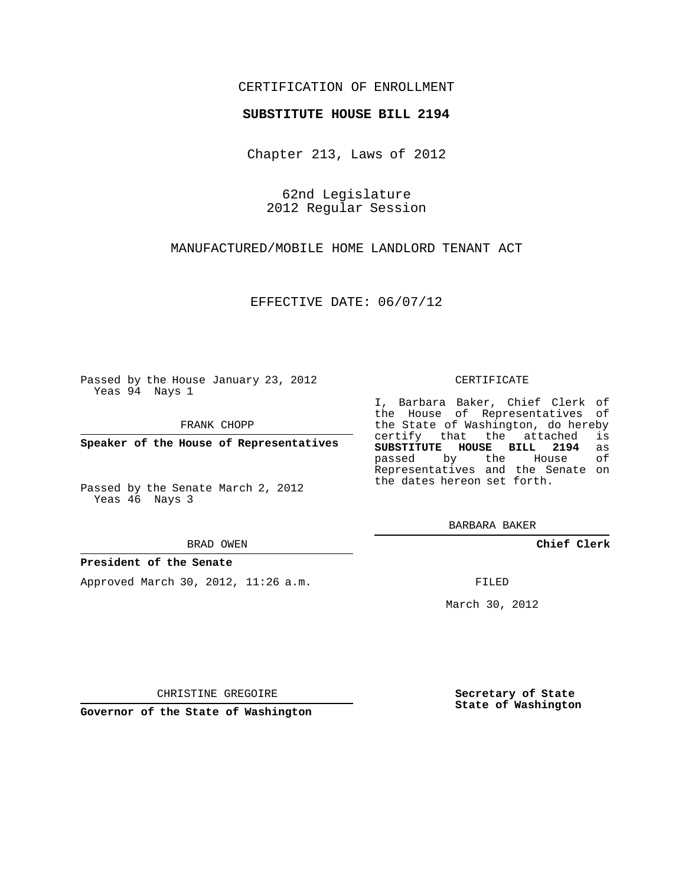### CERTIFICATION OF ENROLLMENT

#### **SUBSTITUTE HOUSE BILL 2194**

Chapter 213, Laws of 2012

62nd Legislature 2012 Regular Session

MANUFACTURED/MOBILE HOME LANDLORD TENANT ACT

EFFECTIVE DATE: 06/07/12

Passed by the House January 23, 2012 Yeas 94 Nays 1

FRANK CHOPP

**Speaker of the House of Representatives**

Passed by the Senate March 2, 2012 Yeas 46 Nays 3

BRAD OWEN

#### **President of the Senate**

Approved March 30, 2012, 11:26 a.m.

CERTIFICATE

I, Barbara Baker, Chief Clerk of the House of Representatives of the State of Washington, do hereby<br>certify that the attached is certify that the attached **SUBSTITUTE HOUSE BILL 2194** as passed by the House Representatives and the Senate on the dates hereon set forth.

BARBARA BAKER

**Chief Clerk**

FILED

March 30, 2012

**Secretary of State State of Washington**

CHRISTINE GREGOIRE

**Governor of the State of Washington**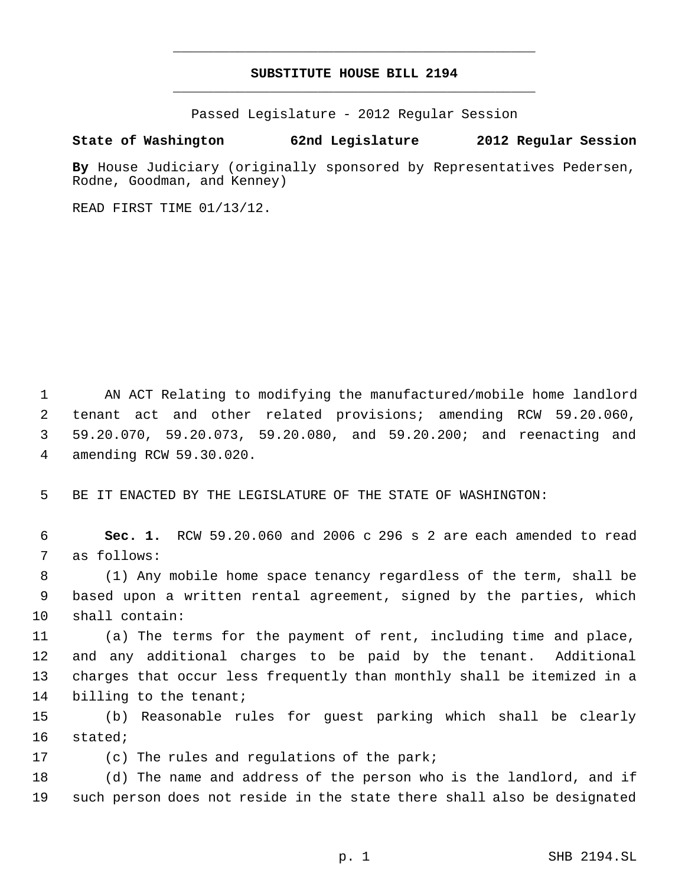# **SUBSTITUTE HOUSE BILL 2194** \_\_\_\_\_\_\_\_\_\_\_\_\_\_\_\_\_\_\_\_\_\_\_\_\_\_\_\_\_\_\_\_\_\_\_\_\_\_\_\_\_\_\_\_\_

\_\_\_\_\_\_\_\_\_\_\_\_\_\_\_\_\_\_\_\_\_\_\_\_\_\_\_\_\_\_\_\_\_\_\_\_\_\_\_\_\_\_\_\_\_

Passed Legislature - 2012 Regular Session

## **State of Washington 62nd Legislature 2012 Regular Session**

**By** House Judiciary (originally sponsored by Representatives Pedersen, Rodne, Goodman, and Kenney)

READ FIRST TIME 01/13/12.

 AN ACT Relating to modifying the manufactured/mobile home landlord tenant act and other related provisions; amending RCW 59.20.060, 59.20.070, 59.20.073, 59.20.080, and 59.20.200; and reenacting and amending RCW 59.30.020.

BE IT ENACTED BY THE LEGISLATURE OF THE STATE OF WASHINGTON:

 **Sec. 1.** RCW 59.20.060 and 2006 c 296 s 2 are each amended to read as follows:

 (1) Any mobile home space tenancy regardless of the term, shall be based upon a written rental agreement, signed by the parties, which shall contain:

 (a) The terms for the payment of rent, including time and place, and any additional charges to be paid by the tenant. Additional charges that occur less frequently than monthly shall be itemized in a 14 billing to the tenant;

 (b) Reasonable rules for guest parking which shall be clearly stated;

(c) The rules and regulations of the park;

 (d) The name and address of the person who is the landlord, and if such person does not reside in the state there shall also be designated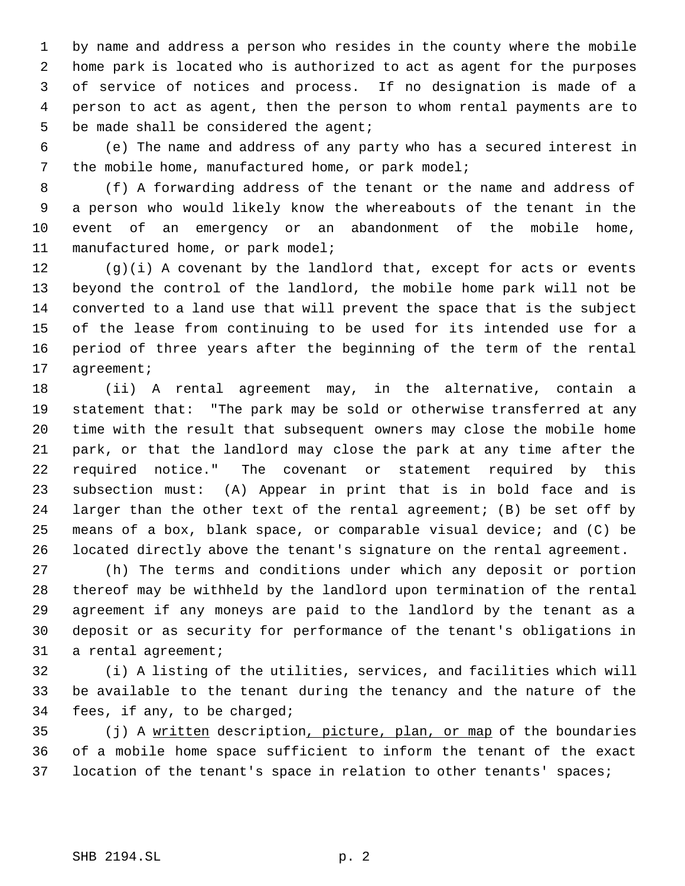by name and address a person who resides in the county where the mobile home park is located who is authorized to act as agent for the purposes of service of notices and process. If no designation is made of a person to act as agent, then the person to whom rental payments are to be made shall be considered the agent;

 (e) The name and address of any party who has a secured interest in the mobile home, manufactured home, or park model;

 (f) A forwarding address of the tenant or the name and address of a person who would likely know the whereabouts of the tenant in the event of an emergency or an abandonment of the mobile home, manufactured home, or park model;

 (g)(i) A covenant by the landlord that, except for acts or events beyond the control of the landlord, the mobile home park will not be converted to a land use that will prevent the space that is the subject of the lease from continuing to be used for its intended use for a period of three years after the beginning of the term of the rental agreement;

 (ii) A rental agreement may, in the alternative, contain a statement that: "The park may be sold or otherwise transferred at any time with the result that subsequent owners may close the mobile home park, or that the landlord may close the park at any time after the required notice." The covenant or statement required by this subsection must: (A) Appear in print that is in bold face and is larger than the other text of the rental agreement; (B) be set off by means of a box, blank space, or comparable visual device; and (C) be located directly above the tenant's signature on the rental agreement.

 (h) The terms and conditions under which any deposit or portion thereof may be withheld by the landlord upon termination of the rental agreement if any moneys are paid to the landlord by the tenant as a deposit or as security for performance of the tenant's obligations in a rental agreement;

 (i) A listing of the utilities, services, and facilities which will be available to the tenant during the tenancy and the nature of the fees, if any, to be charged;

35 (j) A written description, picture, plan, or map of the boundaries of a mobile home space sufficient to inform the tenant of the exact location of the tenant's space in relation to other tenants' spaces;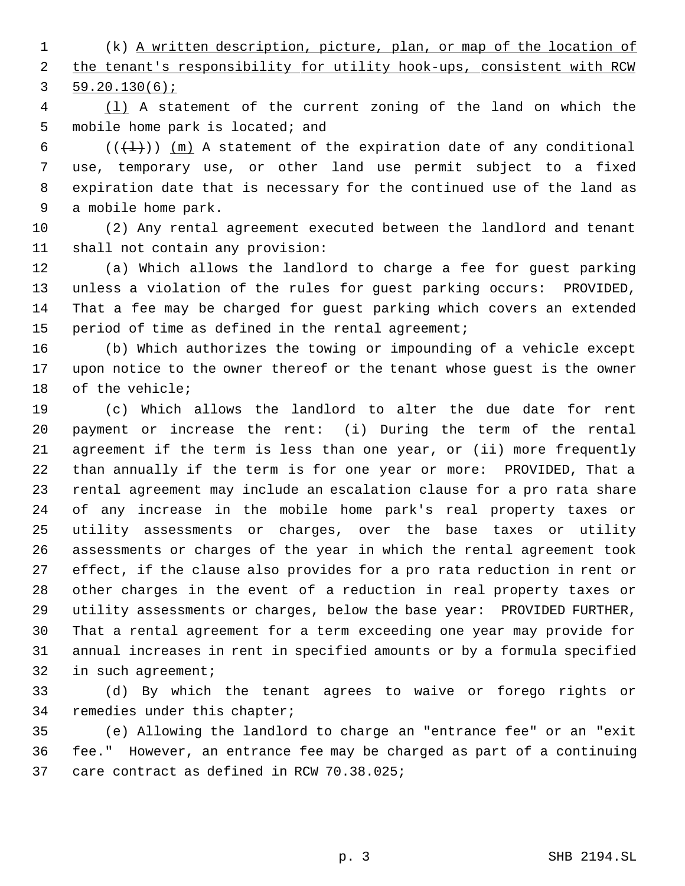(k) A written description, picture, plan, or map of the location of 2 the tenant's responsibility for utility hook-ups, consistent with RCW 59.20.130(6);

 (l) A statement of the current zoning of the land on which the mobile home park is located; and

6 ( $(\{\pm\})$ )  $(m)$  A statement of the expiration date of any conditional use, temporary use, or other land use permit subject to a fixed expiration date that is necessary for the continued use of the land as a mobile home park.

 (2) Any rental agreement executed between the landlord and tenant shall not contain any provision:

 (a) Which allows the landlord to charge a fee for guest parking unless a violation of the rules for guest parking occurs: PROVIDED, That a fee may be charged for guest parking which covers an extended period of time as defined in the rental agreement;

 (b) Which authorizes the towing or impounding of a vehicle except upon notice to the owner thereof or the tenant whose guest is the owner of the vehicle;

 (c) Which allows the landlord to alter the due date for rent payment or increase the rent: (i) During the term of the rental agreement if the term is less than one year, or (ii) more frequently than annually if the term is for one year or more: PROVIDED, That a rental agreement may include an escalation clause for a pro rata share of any increase in the mobile home park's real property taxes or utility assessments or charges, over the base taxes or utility assessments or charges of the year in which the rental agreement took effect, if the clause also provides for a pro rata reduction in rent or other charges in the event of a reduction in real property taxes or utility assessments or charges, below the base year: PROVIDED FURTHER, That a rental agreement for a term exceeding one year may provide for annual increases in rent in specified amounts or by a formula specified in such agreement;

 (d) By which the tenant agrees to waive or forego rights or remedies under this chapter;

 (e) Allowing the landlord to charge an "entrance fee" or an "exit fee." However, an entrance fee may be charged as part of a continuing care contract as defined in RCW 70.38.025;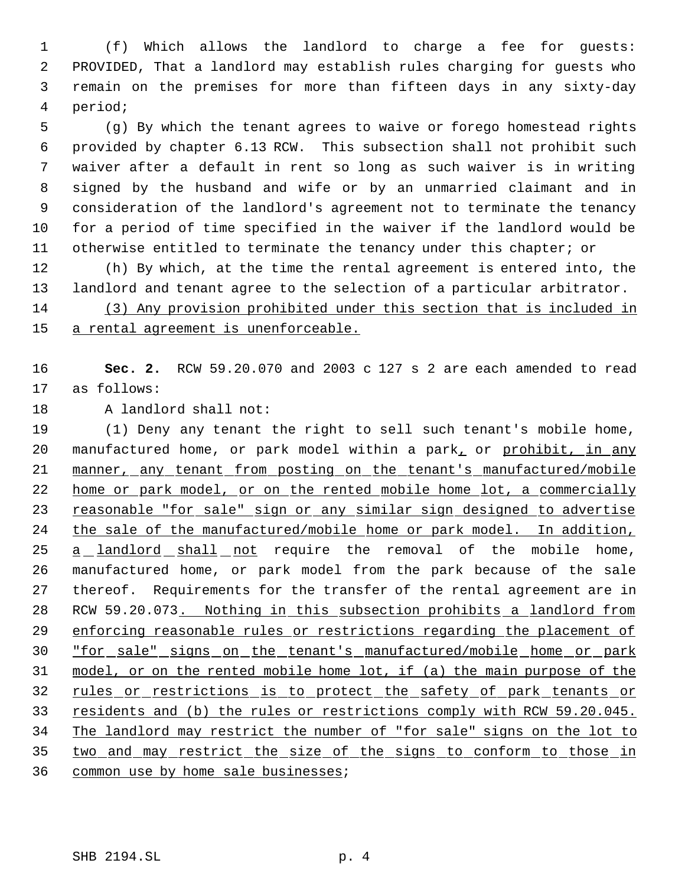(f) Which allows the landlord to charge a fee for guests: PROVIDED, That a landlord may establish rules charging for guests who remain on the premises for more than fifteen days in any sixty-day period;

 (g) By which the tenant agrees to waive or forego homestead rights provided by chapter 6.13 RCW. This subsection shall not prohibit such waiver after a default in rent so long as such waiver is in writing signed by the husband and wife or by an unmarried claimant and in consideration of the landlord's agreement not to terminate the tenancy for a period of time specified in the waiver if the landlord would be otherwise entitled to terminate the tenancy under this chapter; or

 (h) By which, at the time the rental agreement is entered into, the landlord and tenant agree to the selection of a particular arbitrator.

 (3) Any provision prohibited under this section that is included in 15 a rental agreement is unenforceable.

 **Sec. 2.** RCW 59.20.070 and 2003 c 127 s 2 are each amended to read as follows:

18 A landlord shall not:

 (1) Deny any tenant the right to sell such tenant's mobile home, 20 manufactured home, or park model within a park, or prohibit, in any 21 manner, any tenant from posting on the tenant's manufactured/mobile 22 home or park model, or on the rented mobile home lot, a commercially 23 reasonable "for sale" sign or any similar sign designed to advertise the sale of the manufactured/mobile home or park model. In addition, 25 a landlord shall not require the removal of the mobile home, manufactured home, or park model from the park because of the sale thereof. Requirements for the transfer of the rental agreement are in RCW 59.20.073. Nothing in this subsection prohibits a landlord from enforcing reasonable rules or restrictions regarding the placement of "for sale" signs on the tenant's manufactured/mobile home or park model, or on the rented mobile home lot, if (a) the main purpose of the 32 rules or restrictions is to protect the safety of park tenants or 33 residents and (b) the rules or restrictions comply with RCW 59.20.045. The landlord may restrict the number of "for sale" signs on the lot to two and may restrict the size of the signs to conform to those in

common use by home sale businesses;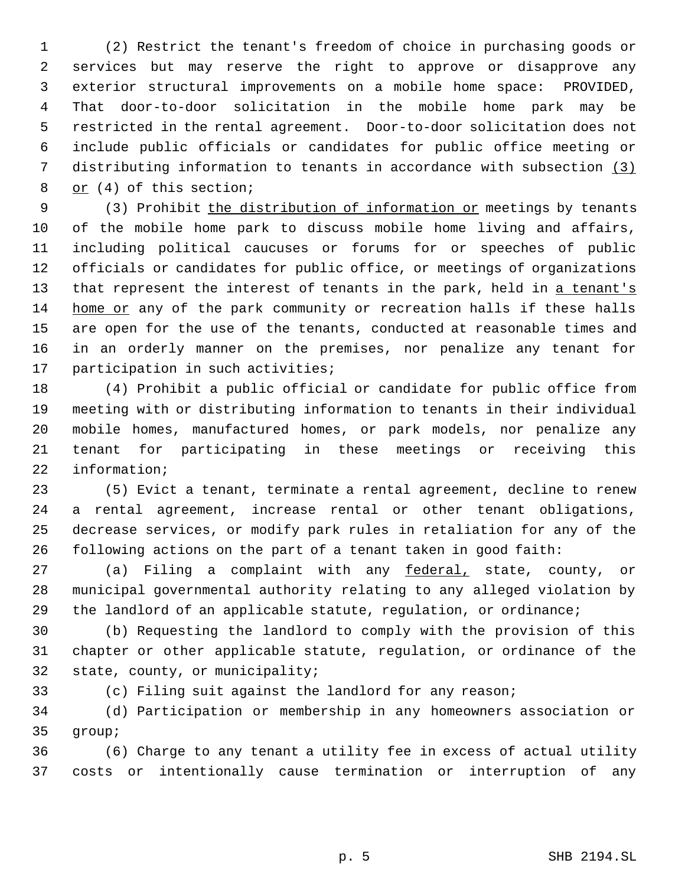(2) Restrict the tenant's freedom of choice in purchasing goods or services but may reserve the right to approve or disapprove any exterior structural improvements on a mobile home space: PROVIDED, That door-to-door solicitation in the mobile home park may be restricted in the rental agreement. Door-to-door solicitation does not include public officials or candidates for public office meeting or distributing information to tenants in accordance with subsection (3) or (4) of this section;

9 (3) Prohibit the distribution of information or meetings by tenants of the mobile home park to discuss mobile home living and affairs, including political caucuses or forums for or speeches of public officials or candidates for public office, or meetings of organizations 13 that represent the interest of tenants in the park, held in a tenant's home or any of the park community or recreation halls if these halls are open for the use of the tenants, conducted at reasonable times and in an orderly manner on the premises, nor penalize any tenant for participation in such activities;

 (4) Prohibit a public official or candidate for public office from meeting with or distributing information to tenants in their individual mobile homes, manufactured homes, or park models, nor penalize any tenant for participating in these meetings or receiving this information;

 (5) Evict a tenant, terminate a rental agreement, decline to renew a rental agreement, increase rental or other tenant obligations, decrease services, or modify park rules in retaliation for any of the following actions on the part of a tenant taken in good faith:

27 (a) Filing a complaint with any federal, state, county, or municipal governmental authority relating to any alleged violation by the landlord of an applicable statute, regulation, or ordinance;

 (b) Requesting the landlord to comply with the provision of this chapter or other applicable statute, regulation, or ordinance of the state, county, or municipality;

(c) Filing suit against the landlord for any reason;

 (d) Participation or membership in any homeowners association or group;

 (6) Charge to any tenant a utility fee in excess of actual utility costs or intentionally cause termination or interruption of any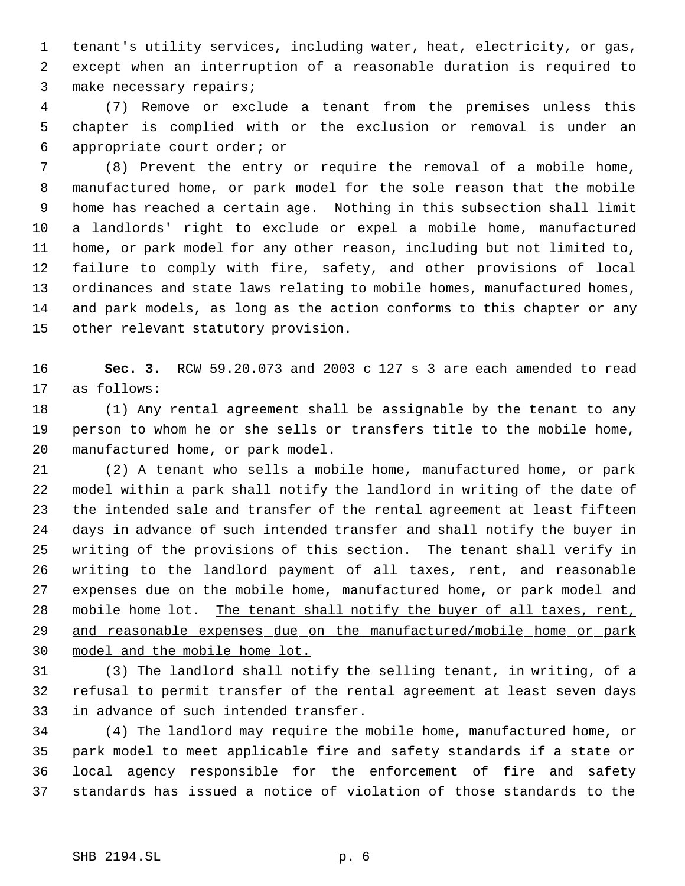tenant's utility services, including water, heat, electricity, or gas, except when an interruption of a reasonable duration is required to make necessary repairs;

 (7) Remove or exclude a tenant from the premises unless this chapter is complied with or the exclusion or removal is under an appropriate court order; or

 (8) Prevent the entry or require the removal of a mobile home, manufactured home, or park model for the sole reason that the mobile home has reached a certain age. Nothing in this subsection shall limit a landlords' right to exclude or expel a mobile home, manufactured home, or park model for any other reason, including but not limited to, failure to comply with fire, safety, and other provisions of local ordinances and state laws relating to mobile homes, manufactured homes, and park models, as long as the action conforms to this chapter or any other relevant statutory provision.

 **Sec. 3.** RCW 59.20.073 and 2003 c 127 s 3 are each amended to read as follows:

 (1) Any rental agreement shall be assignable by the tenant to any person to whom he or she sells or transfers title to the mobile home, manufactured home, or park model.

 (2) A tenant who sells a mobile home, manufactured home, or park model within a park shall notify the landlord in writing of the date of the intended sale and transfer of the rental agreement at least fifteen days in advance of such intended transfer and shall notify the buyer in writing of the provisions of this section. The tenant shall verify in writing to the landlord payment of all taxes, rent, and reasonable expenses due on the mobile home, manufactured home, or park model and 28 mobile home lot. The tenant shall notify the buyer of all taxes, rent, 29 and reasonable expenses due on the manufactured/mobile home or park model and the mobile home lot.

 (3) The landlord shall notify the selling tenant, in writing, of a refusal to permit transfer of the rental agreement at least seven days in advance of such intended transfer.

 (4) The landlord may require the mobile home, manufactured home, or park model to meet applicable fire and safety standards if a state or local agency responsible for the enforcement of fire and safety standards has issued a notice of violation of those standards to the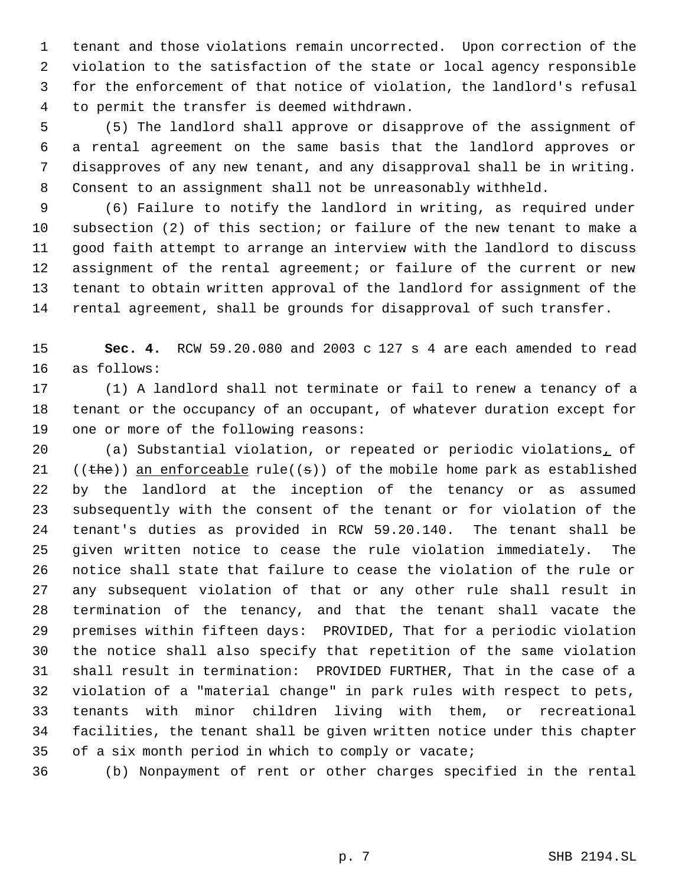tenant and those violations remain uncorrected. Upon correction of the violation to the satisfaction of the state or local agency responsible for the enforcement of that notice of violation, the landlord's refusal to permit the transfer is deemed withdrawn.

 (5) The landlord shall approve or disapprove of the assignment of a rental agreement on the same basis that the landlord approves or disapproves of any new tenant, and any disapproval shall be in writing. Consent to an assignment shall not be unreasonably withheld.

 (6) Failure to notify the landlord in writing, as required under subsection (2) of this section; or failure of the new tenant to make a good faith attempt to arrange an interview with the landlord to discuss assignment of the rental agreement; or failure of the current or new tenant to obtain written approval of the landlord for assignment of the rental agreement, shall be grounds for disapproval of such transfer.

 **Sec. 4.** RCW 59.20.080 and 2003 c 127 s 4 are each amended to read as follows:

 (1) A landlord shall not terminate or fail to renew a tenancy of a tenant or the occupancy of an occupant, of whatever duration except for one or more of the following reasons:

 (a) Substantial violation, or repeated or periodic violations, of  $((the))$  an enforceable rule( $(s)$ ) of the mobile home park as established by the landlord at the inception of the tenancy or as assumed subsequently with the consent of the tenant or for violation of the tenant's duties as provided in RCW 59.20.140. The tenant shall be given written notice to cease the rule violation immediately. The notice shall state that failure to cease the violation of the rule or any subsequent violation of that or any other rule shall result in termination of the tenancy, and that the tenant shall vacate the premises within fifteen days: PROVIDED, That for a periodic violation the notice shall also specify that repetition of the same violation shall result in termination: PROVIDED FURTHER, That in the case of a violation of a "material change" in park rules with respect to pets, tenants with minor children living with them, or recreational facilities, the tenant shall be given written notice under this chapter of a six month period in which to comply or vacate;

(b) Nonpayment of rent or other charges specified in the rental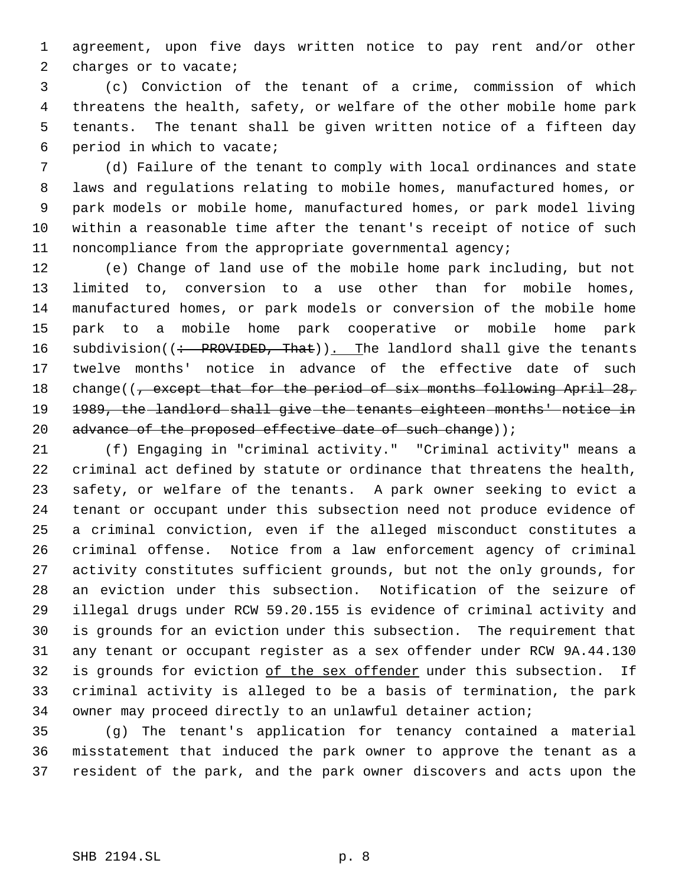agreement, upon five days written notice to pay rent and/or other 2 charges or to vacate;

 (c) Conviction of the tenant of a crime, commission of which threatens the health, safety, or welfare of the other mobile home park tenants. The tenant shall be given written notice of a fifteen day period in which to vacate;

 (d) Failure of the tenant to comply with local ordinances and state laws and regulations relating to mobile homes, manufactured homes, or park models or mobile home, manufactured homes, or park model living within a reasonable time after the tenant's receipt of notice of such noncompliance from the appropriate governmental agency;

 (e) Change of land use of the mobile home park including, but not limited to, conversion to a use other than for mobile homes, manufactured homes, or park models or conversion of the mobile home park to a mobile home park cooperative or mobile home park 16 subdivision((: PROVIDED, That)). The landlord shall give the tenants twelve months' notice in advance of the effective date of such 18 change((, except that for the period of six months following April 28, 1989, the landlord shall give the tenants eighteen months' notice in 20 advance of the proposed effective date of such change));

 (f) Engaging in "criminal activity." "Criminal activity" means a criminal act defined by statute or ordinance that threatens the health, safety, or welfare of the tenants. A park owner seeking to evict a tenant or occupant under this subsection need not produce evidence of a criminal conviction, even if the alleged misconduct constitutes a criminal offense. Notice from a law enforcement agency of criminal activity constitutes sufficient grounds, but not the only grounds, for an eviction under this subsection. Notification of the seizure of illegal drugs under RCW 59.20.155 is evidence of criminal activity and is grounds for an eviction under this subsection. The requirement that any tenant or occupant register as a sex offender under RCW 9A.44.130 32 is grounds for eviction of the sex offender under this subsection. If criminal activity is alleged to be a basis of termination, the park owner may proceed directly to an unlawful detainer action;

 (g) The tenant's application for tenancy contained a material misstatement that induced the park owner to approve the tenant as a resident of the park, and the park owner discovers and acts upon the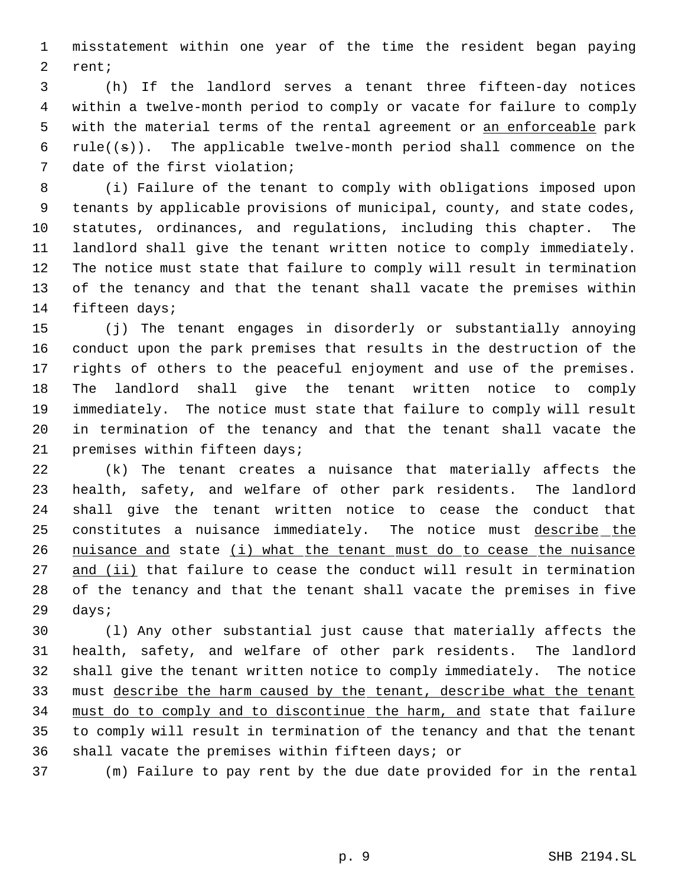misstatement within one year of the time the resident began paying rent;

 (h) If the landlord serves a tenant three fifteen-day notices within a twelve-month period to comply or vacate for failure to comply 5 with the material terms of the rental agreement or an enforceable park 6 rule( $(\pm)$ ). The applicable twelve-month period shall commence on the date of the first violation;

 (i) Failure of the tenant to comply with obligations imposed upon tenants by applicable provisions of municipal, county, and state codes, statutes, ordinances, and regulations, including this chapter. The landlord shall give the tenant written notice to comply immediately. The notice must state that failure to comply will result in termination of the tenancy and that the tenant shall vacate the premises within fifteen days;

 (j) The tenant engages in disorderly or substantially annoying conduct upon the park premises that results in the destruction of the rights of others to the peaceful enjoyment and use of the premises. The landlord shall give the tenant written notice to comply immediately. The notice must state that failure to comply will result in termination of the tenancy and that the tenant shall vacate the premises within fifteen days;

 (k) The tenant creates a nuisance that materially affects the health, safety, and welfare of other park residents. The landlord shall give the tenant written notice to cease the conduct that constitutes a nuisance immediately. The notice must describe the 26 nuisance and state (i) what the tenant must do to cease the nuisance 27 and (ii) that failure to cease the conduct will result in termination of the tenancy and that the tenant shall vacate the premises in five days;

 (l) Any other substantial just cause that materially affects the health, safety, and welfare of other park residents. The landlord shall give the tenant written notice to comply immediately. The notice must describe the harm caused by the tenant, describe what the tenant must do to comply and to discontinue the harm, and state that failure to comply will result in termination of the tenancy and that the tenant shall vacate the premises within fifteen days; or

(m) Failure to pay rent by the due date provided for in the rental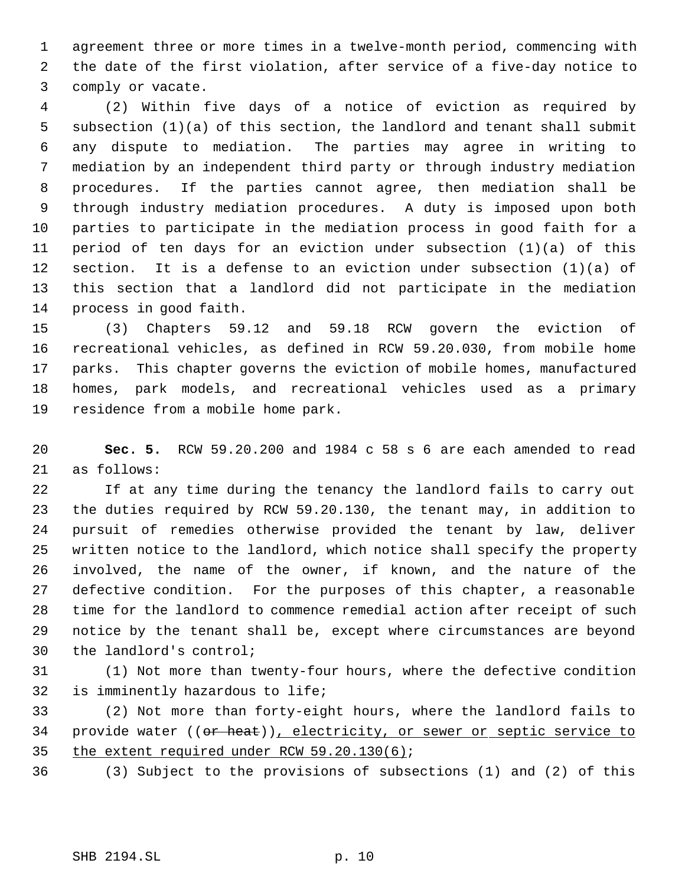agreement three or more times in a twelve-month period, commencing with the date of the first violation, after service of a five-day notice to comply or vacate.

 (2) Within five days of a notice of eviction as required by subsection (1)(a) of this section, the landlord and tenant shall submit any dispute to mediation. The parties may agree in writing to mediation by an independent third party or through industry mediation procedures. If the parties cannot agree, then mediation shall be through industry mediation procedures. A duty is imposed upon both parties to participate in the mediation process in good faith for a period of ten days for an eviction under subsection (1)(a) of this section. It is a defense to an eviction under subsection (1)(a) of this section that a landlord did not participate in the mediation process in good faith.

 (3) Chapters 59.12 and 59.18 RCW govern the eviction of recreational vehicles, as defined in RCW 59.20.030, from mobile home parks. This chapter governs the eviction of mobile homes, manufactured homes, park models, and recreational vehicles used as a primary residence from a mobile home park.

 **Sec. 5.** RCW 59.20.200 and 1984 c 58 s 6 are each amended to read as follows:

 If at any time during the tenancy the landlord fails to carry out the duties required by RCW 59.20.130, the tenant may, in addition to pursuit of remedies otherwise provided the tenant by law, deliver written notice to the landlord, which notice shall specify the property involved, the name of the owner, if known, and the nature of the defective condition. For the purposes of this chapter, a reasonable time for the landlord to commence remedial action after receipt of such notice by the tenant shall be, except where circumstances are beyond the landlord's control;

 (1) Not more than twenty-four hours, where the defective condition is imminently hazardous to life;

 (2) Not more than forty-eight hours, where the landlord fails to 34 provide water ((or heat)), electricity, or sewer or septic service to the extent required under RCW 59.20.130(6);

(3) Subject to the provisions of subsections (1) and (2) of this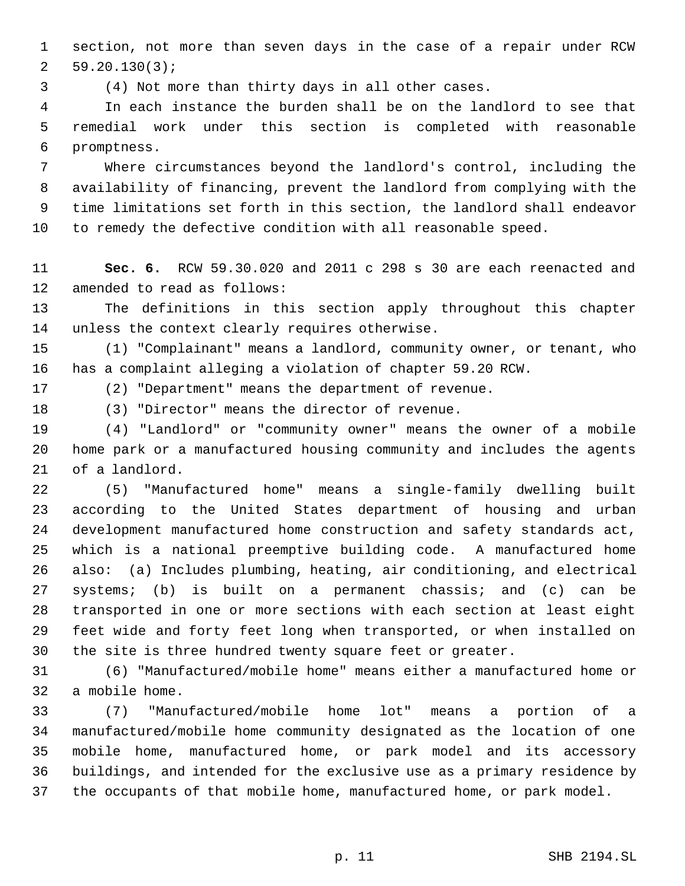section, not more than seven days in the case of a repair under RCW 59.20.130(3);

(4) Not more than thirty days in all other cases.

 In each instance the burden shall be on the landlord to see that remedial work under this section is completed with reasonable promptness.

 Where circumstances beyond the landlord's control, including the availability of financing, prevent the landlord from complying with the time limitations set forth in this section, the landlord shall endeavor to remedy the defective condition with all reasonable speed.

 **Sec. 6.** RCW 59.30.020 and 2011 c 298 s 30 are each reenacted and amended to read as follows:

 The definitions in this section apply throughout this chapter unless the context clearly requires otherwise.

 (1) "Complainant" means a landlord, community owner, or tenant, who has a complaint alleging a violation of chapter 59.20 RCW.

(2) "Department" means the department of revenue.

(3) "Director" means the director of revenue.

 (4) "Landlord" or "community owner" means the owner of a mobile home park or a manufactured housing community and includes the agents of a landlord.

 (5) "Manufactured home" means a single-family dwelling built according to the United States department of housing and urban development manufactured home construction and safety standards act, which is a national preemptive building code. A manufactured home also: (a) Includes plumbing, heating, air conditioning, and electrical systems; (b) is built on a permanent chassis; and (c) can be transported in one or more sections with each section at least eight feet wide and forty feet long when transported, or when installed on the site is three hundred twenty square feet or greater.

 (6) "Manufactured/mobile home" means either a manufactured home or a mobile home.

 (7) "Manufactured/mobile home lot" means a portion of a manufactured/mobile home community designated as the location of one mobile home, manufactured home, or park model and its accessory buildings, and intended for the exclusive use as a primary residence by the occupants of that mobile home, manufactured home, or park model.